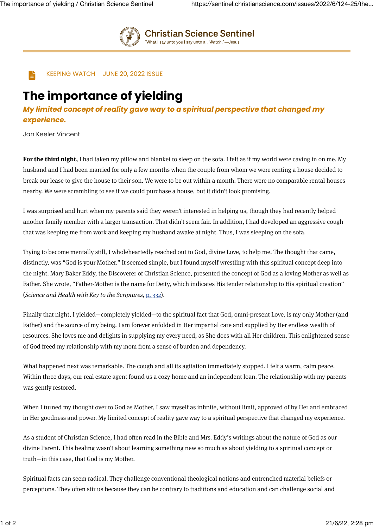

**Christian Science Sentinel** "What I say unto you I say unto all, Watch."—Jesus



## **The importance of yielding**

*My limited concept of reality gave way to a spiritual perspective that changed my experience.*

Jan Keeler Vincent

**For the third night,** I had taken my pillow and blanket to sleep on the sofa. I felt as if my world were caving in on me. My husband and I had been married for only a few months when the couple from whom we were renting a house decided to break our lease to give the house to their son. We were to be out within a month. There were no comparable rental houses nearby. We were scrambling to see if we could purchase a house, but it didn't look promising.

I was surprised and hurt when my parents said they weren't interested in helping us, though they had recently helped another family member with a larger transaction. That didn't seem fair. In addition, I had developed an aggressive cough that was keeping me from work and keeping my husband awake at night. Thus, I was sleeping on the sofa.

Trying to become mentally still, I wholeheartedly reached out to God, divine Love, to help me. The thought that came, distinctly, was "God is your Mother." It seemed simple, but I found myself wrestling with this spiritual concept deep into the night. Mary Baker Eddy, the Discoverer of Christian Science, presented the concept of God as a loving Mother as well as Father. She wrote, "Father-Mother is the name for Deity, which indicates His tender relationship to His spiritual creation" (*Science and Health with Key to the Scriptures,* [p. 332\)](https://login.concord.christianscience.com/concord3/search/?query=SH%20332%3A4%E2%80%935%20Father-Mother&book=tfccs.main.sh).

Finally that night, I yielded—completely yielded—to the spiritual fact that God, omni-present Love, is my only Mother (and Father) and the source of my being. I am forever enfolded in Her impartial care and supplied by Her endless wealth of resources. She loves me and delights in supplying my every need, as She does with all Her children. This enlightened sense of God freed my relationship with my mom from a sense of burden and dependency.

What happened next was remarkable. The cough and all its agitation immediately stopped. I felt a warm, calm peace. Within three days, our real estate agent found us a cozy home and an independent loan. The relationship with my parents was gently restored.

When I turned my thought over to God as Mother, I saw myself as infnite, without limit, approved of by Her and embraced in Her goodness and power. My limited concept of reality gave way to a spiritual perspective that changed my experience.

As a student of Christian Science, I had ofen read in the Bible and Mrs. Eddy's writings about the nature of God as our divine Parent. This healing wasn't about learning something new so much as about yielding to a spiritual concept or truth—in this case, that God is my Mother.

Spiritual facts can seem radical. They challenge conventional theological notions and entrenched material beliefs or perceptions. They often stir us because they can be contrary to traditions and education and can challenge social and